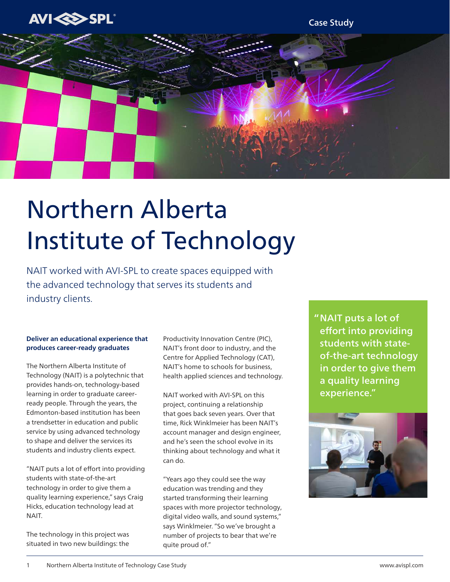

Case Study



# Northern Alberta Institute of Technology

NAIT worked with AVI-SPL to create spaces equipped with the advanced technology that serves its students and industry clients.

## **Deliver an educational experience that produces career-ready graduates**

The Northern Alberta Institute of Technology (NAIT) is a polytechnic that provides hands-on, technology-based learning in order to graduate careerready people. Through the years, the Edmonton-based institution has been a trendsetter in education and public service by using advanced technology to shape and deliver the services its students and industry clients expect.

"NAIT puts a lot of effort into providing students with state-of-the-art technology in order to give them a quality learning experience," says Craig Hicks, education technology lead at NAIT.

The technology in this project was situated in two new buildings: the Productivity Innovation Centre (PIC), NAIT's front door to industry, and the Centre for Applied Technology (CAT), NAIT's home to schools for business, health applied sciences and technology.

NAIT worked with AVI-SPL on this project, continuing a relationship that goes back seven years. Over that time, Rick Winklmeier has been NAIT's account manager and design engineer, and he's seen the school evolve in its thinking about technology and what it can do.

"Years ago they could see the way education was trending and they started transforming their learning spaces with more projector technology, digital video walls, and sound systems," says Winklmeier. "So we've brought a number of projects to bear that we're quite proud of."

NAIT puts a lot of " effort into providing students with stateof-the-art technology in order to give them a quality learning experience."

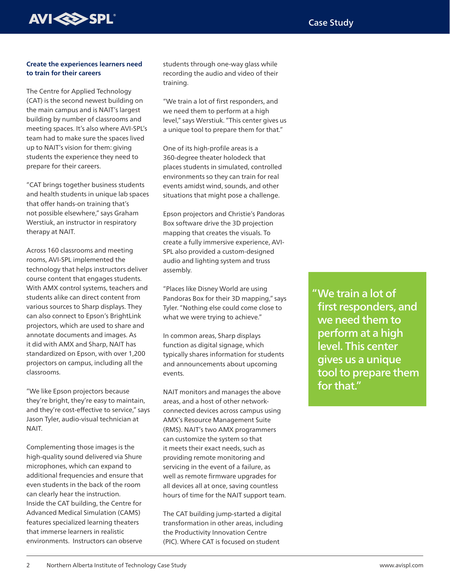

#### **Create the experiences learners need to train for their careers**

The Centre for Applied Technology (CAT) is the second newest building on the main campus and is NAIT's largest building by number of classrooms and meeting spaces. It's also where AVI-SPL's team had to make sure the spaces lived up to NAIT's vision for them: giving students the experience they need to prepare for their careers.

"CAT brings together business students and health students in unique lab spaces that offer hands-on training that's not possible elsewhere," says Graham Werstiuk, an instructor in respiratory therapy at NAIT.

Across 160 classrooms and meeting rooms, AVI-SPL implemented the technology that helps instructors deliver course content that engages students. With AMX control systems, teachers and students alike can direct content from various sources to Sharp displays. They can also connect to Epson's BrightLink projectors, which are used to share and annotate documents and images. As it did with AMX and Sharp, NAIT has standardized on Epson, with over 1,200 projectors on campus, including all the classrooms.

"We like Epson projectors because they're bright, they're easy to maintain, and they're cost-effective to service," says Jason Tyler, audio-visual technician at NAIT.

Complementing those images is the high-quality sound delivered via Shure microphones, which can expand to additional frequencies and ensure that even students in the back of the room can clearly hear the instruction. Inside the CAT building, the Centre for Advanced Medical Simulation (CAMS) features specialized learning theaters that immerse learners in realistic environments. Instructors can observe

students through one-way glass while recording the audio and video of their training.

"We train a lot of first responders, and we need them to perform at a high level," says Werstiuk. "This center gives us a unique tool to prepare them for that."

One of its high-profile areas is a 360-degree theater holodeck that places students in simulated, controlled environments so they can train for real events amidst wind, sounds, and other situations that might pose a challenge.

Epson projectors and Christie's Pandoras Box software drive the 3D projection mapping that creates the visuals. To create a fully immersive experience, AVI-SPL also provided a custom-designed audio and lighting system and truss assembly.

"Places like Disney World are using Pandoras Box for their 3D mapping," says Tyler. "Nothing else could come close to what we were trying to achieve."

In common areas, Sharp displays function as digital signage, which typically shares information for students and announcements about upcoming events.

NAIT monitors and manages the above areas, and a host of other networkconnected devices across campus using AMX's Resource Management Suite (RMS). NAIT's two AMX programmers can customize the system so that it meets their exact needs, such as providing remote monitoring and servicing in the event of a failure, as well as remote firmware upgrades for all devices all at once, saving countless hours of time for the NAIT support team.

The CAT building jump-started a digital transformation in other areas, including the Productivity Innovation Centre (PIC). Where CAT is focused on student

We train a lot of " first responders, and we need them to perform at a high level. This center gives us a unique tool to prepare them for that."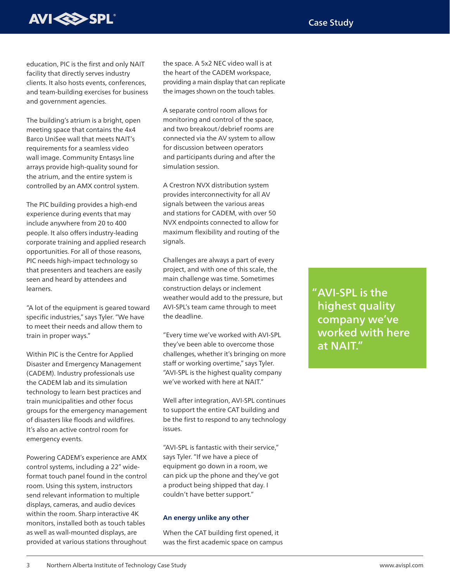

education, PIC is the first and only NAIT facility that directly serves industry clients. It also hosts events, conferences, and team-building exercises for business and government agencies.

The building's atrium is a bright, open meeting space that contains the 4x4 Barco UniSee wall that meets NAIT's requirements for a seamless video wall image. Community Entasys line arrays provide high-quality sound for the atrium, and the entire system is controlled by an AMX control system.

The PIC building provides a high-end experience during events that may include anywhere from 20 to 400 people. It also offers industry-leading corporate training and applied research opportunities. For all of those reasons, PIC needs high-impact technology so that presenters and teachers are easily seen and heard by attendees and learners.

"A lot of the equipment is geared toward specific industries," says Tyler. "We have to meet their needs and allow them to train in proper ways."

Within PIC is the Centre for Applied Disaster and Emergency Management (CADEM). Industry professionals use the CADEM lab and its simulation technology to learn best practices and train municipalities and other focus groups for the emergency management of disasters like floods and wildfires. It's also an active control room for emergency events.

Powering CADEM's experience are AMX control systems, including a 22" wideformat touch panel found in the control room. Using this system, instructors send relevant information to multiple displays, cameras, and audio devices within the room. Sharp interactive 4K monitors, installed both as touch tables as well as wall-mounted displays, are provided at various stations throughout

the space. A 5x2 NEC video wall is at the heart of the CADEM workspace, providing a main display that can replicate the images shown on the touch tables.

A separate control room allows for monitoring and control of the space, and two breakout/debrief rooms are connected via the AV system to allow for discussion between operators and participants during and after the simulation session.

A Crestron NVX distribution system provides interconnectivity for all AV signals between the various areas and stations for CADEM, with over 50 NVX endpoints connected to allow for maximum flexibility and routing of the signals.

Challenges are always a part of every project, and with one of this scale, the main challenge was time. Sometimes construction delays or inclement weather would add to the pressure, but AVI-SPL's team came through to meet the deadline.

"Every time we've worked with AVI-SPL they've been able to overcome those challenges, whether it's bringing on more staff or working overtime," says Tyler. "AVI-SPL is the highest quality company we've worked with here at NAIT"

Well after integration, AVI-SPL continues to support the entire CAT building and be the first to respond to any technology issues.

"AVI-SPL is fantastic with their service," says Tyler. "If we have a piece of equipment go down in a room, we can pick up the phone and they've got a product being shipped that day. I couldn't have better support."

#### **An energy unlike any other**

When the CAT building first opened, it was the first academic space on campus AVI-SPL is the " highest quality company we've worked with here at NAIT."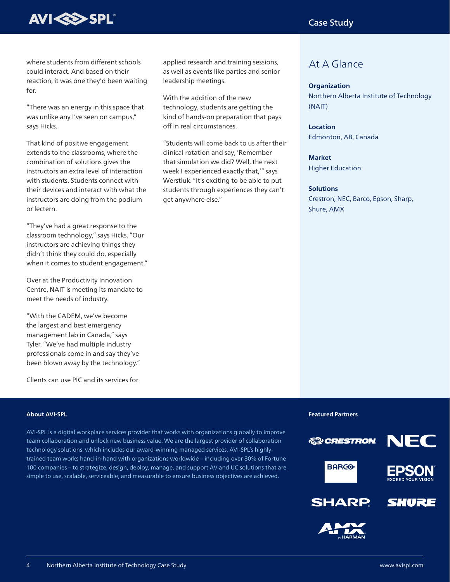

where students from different schools could interact. And based on their reaction, it was one they'd been waiting for.

"There was an energy in this space that was unlike any I've seen on campus," says Hicks.

That kind of positive engagement extends to the classrooms, where the combination of solutions gives the instructors an extra level of interaction with students. Students connect with their devices and interact with what the instructors are doing from the podium or lectern.

"They've had a great response to the classroom technology," says Hicks. "Our instructors are achieving things they didn't think they could do, especially when it comes to student engagement."

Over at the Productivity Innovation Centre, NAIT is meeting its mandate to meet the needs of industry.

"With the CADEM, we've become the largest and best emergency management lab in Canada," says Tyler. "We've had multiple industry professionals come in and say they've been blown away by the technology."

Clients can use PIC and its services for

applied research and training sessions, as well as events like parties and senior leadership meetings.

With the addition of the new technology, students are getting the kind of hands-on preparation that pays off in real circumstances.

"Students will come back to us after their clinical rotation and say, 'Remember that simulation we did? Well, the next week I experienced exactly that,'" says Werstiuk. "It's exciting to be able to put students through experiences they can't get anywhere else."

# At A Glance

#### **Organization**

Northern Alberta Institute of Technology (NAIT)

## **Location**

Edmonton, AB, Canada

### **Market**

Higher Education

#### **Solutions**

Crestron, NEC, Barco, Epson, Sharp, Shure, AMX

#### **About AVI-SPL**

AVI-SPL is a digital workplace services provider that works with organizations globally to improve team collaboration and unlock new business value. We are the largest provider of collaboration technology solutions, which includes our award-winning managed services. AVI-SPL's highlytrained team works hand-in-hand with organizations worldwide – including over 80% of Fortune 100 companies – to strategize, design, deploy, manage, and support AV and UC solutions that are simple to use, scalable, serviceable, and measurable to ensure business objectives are achieved.

**Featured Partners**